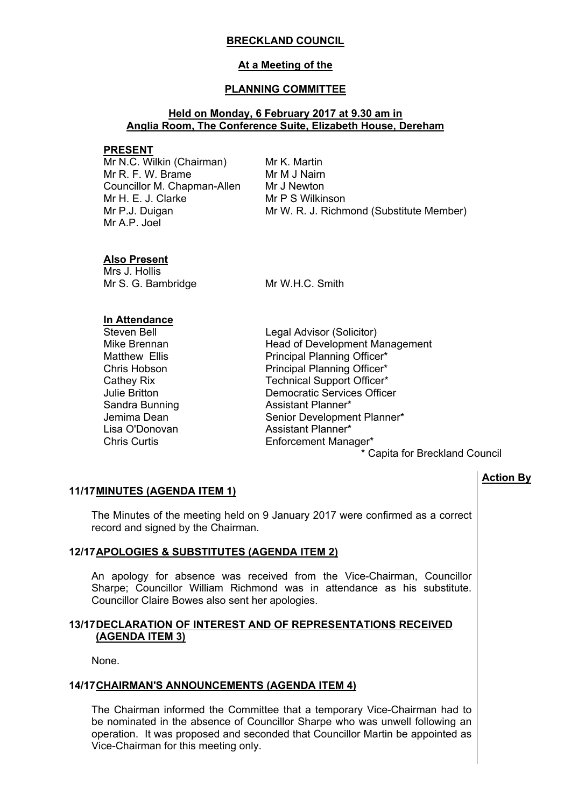### **BRECKLAND COUNCIL**

## **At a Meeting of the**

## **PLANNING COMMITTEE**

## **Held on Monday, 6 February 2017 at 9.30 am in Anglia Room, The Conference Suite, Elizabeth House, Dereham**

#### **PRESENT**

Mr N.C. Wilkin (Chairman) Mr R. F. W. Brame Councillor M. Chapman-Allen Mr H. E. J. Clarke Mr P.J. Duigan Mr A.P. Joel

Mr K. Martin Mr M J Nairn Mr J Newton Mr P S Wilkinson Mr W. R. J. Richmond (Substitute Member)

## **Also Present**

Mrs J. Hollis Mr S. G. Bambridge Mr W.H.C. Smith

## **In Attendance**

Steven Bell **Steven Bell** Legal Advisor (Solicitor) Mike Brennan **Head of Development Management** Matthew Ellis **Principal Planning Officer\*** Chris Hobson **Principal Planning Officer\*** Cathey Rix **Technical Support Officer\*** Julie Britton Democratic Services Officer Sandra Bunning **Assistant Planner\*** Jemima Dean Senior Development Planner\* Lisa O'Donovan **Assistant Planner\*** Chris Curtis Enforcement Manager\*

\* Capita for Breckland Council

# **Action By**

#### **11/17MINUTES (AGENDA ITEM 1)**

The Minutes of the meeting held on 9 January 2017 were confirmed as a correct record and signed by the Chairman.

# **12/17APOLOGIES & SUBSTITUTES (AGENDA ITEM 2)**

An apology for absence was received from the Vice-Chairman, Councillor Sharpe; Councillor William Richmond was in attendance as his substitute. Councillor Claire Bowes also sent her apologies.

## **13/17DECLARATION OF INTEREST AND OF REPRESENTATIONS RECEIVED (AGENDA ITEM 3)**

None.

#### **14/17CHAIRMAN'S ANNOUNCEMENTS (AGENDA ITEM 4)**

The Chairman informed the Committee that a temporary Vice-Chairman had to be nominated in the absence of Councillor Sharpe who was unwell following an operation. It was proposed and seconded that Councillor Martin be appointed as Vice-Chairman for this meeting only.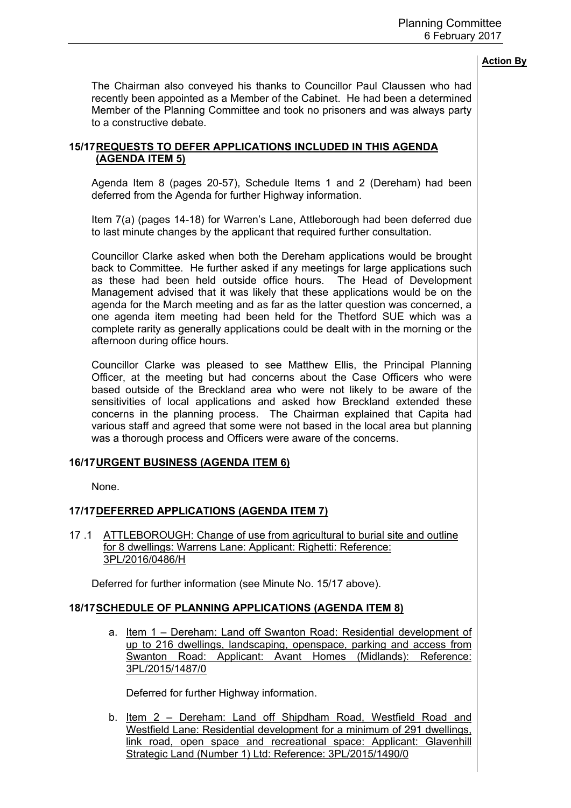The Chairman also conveyed his thanks to Councillor Paul Claussen who had recently been appointed as a Member of the Cabinet. He had been a determined Member of the Planning Committee and took no prisoners and was always party to a constructive debate.

# **15/17REQUESTS TO DEFER APPLICATIONS INCLUDED IN THIS AGENDA (AGENDA ITEM 5)**

Agenda Item 8 (pages 20-57), Schedule Items 1 and 2 (Dereham) had been deferred from the Agenda for further Highway information.

Item 7(a) (pages 14-18) for Warren's Lane, Attleborough had been deferred due to last minute changes by the applicant that required further consultation.

Councillor Clarke asked when both the Dereham applications would be brought back to Committee. He further asked if any meetings for large applications such as these had been held outside office hours. The Head of Development Management advised that it was likely that these applications would be on the agenda for the March meeting and as far as the latter question was concerned, a one agenda item meeting had been held for the Thetford SUE which was a complete rarity as generally applications could be dealt with in the morning or the afternoon during office hours.

Councillor Clarke was pleased to see Matthew Ellis, the Principal Planning Officer, at the meeting but had concerns about the Case Officers who were based outside of the Breckland area who were not likely to be aware of the sensitivities of local applications and asked how Breckland extended these concerns in the planning process. The Chairman explained that Capita had various staff and agreed that some were not based in the local area but planning was a thorough process and Officers were aware of the concerns.

# **16/17URGENT BUSINESS (AGENDA ITEM 6)**

None.

# **17/17DEFERRED APPLICATIONS (AGENDA ITEM 7)**

17 .1 ATTLEBOROUGH: Change of use from agricultural to burial site and outline for 8 dwellings: Warrens Lane: Applicant: Righetti: Reference: 3PL/2016/0486/H

Deferred for further information (see Minute No. 15/17 above).

#### **18/17SCHEDULE OF PLANNING APPLICATIONS (AGENDA ITEM 8)**

a. Item 1 – Dereham: Land off Swanton Road: Residential development of up to 216 dwellings, landscaping, openspace, parking and access from Swanton Road: Applicant: Avant Homes (Midlands): Reference: 3PL/2015/1487/0

Deferred for further Highway information.

b. Item 2 – Dereham: Land off Shipdham Road, Westfield Road and Westfield Lane: Residential development for a minimum of 291 dwellings, link road, open space and recreational space: Applicant: Glavenhill Strategic Land (Number 1) Ltd: Reference: 3PL/2015/1490/0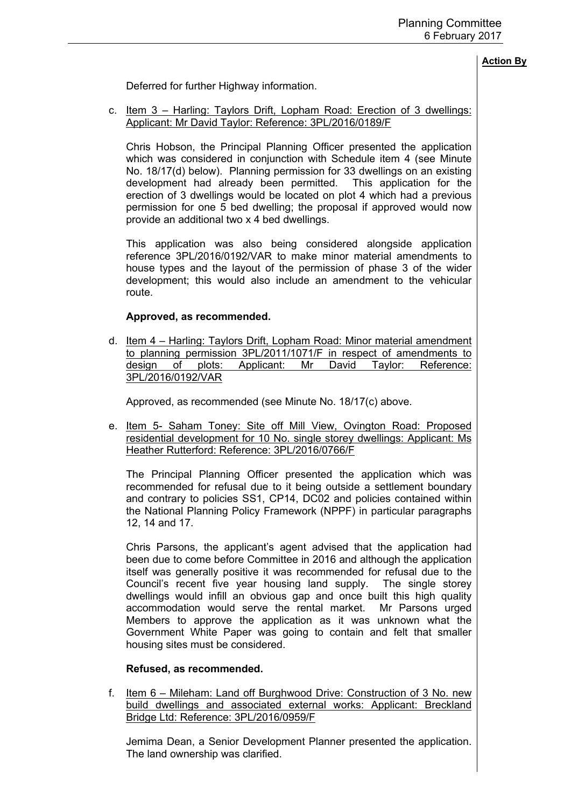Deferred for further Highway information.

c. Item 3 – Harling: Taylors Drift, Lopham Road: Erection of 3 dwellings: Applicant: Mr David Taylor: Reference: 3PL/2016/0189/F

Chris Hobson, the Principal Planning Officer presented the application which was considered in conjunction with Schedule item 4 (see Minute No. 18/17(d) below). Planning permission for 33 dwellings on an existing development had already been permitted. This application for the erection of 3 dwellings would be located on plot 4 which had a previous permission for one 5 bed dwelling; the proposal if approved would now provide an additional two x 4 bed dwellings.

This application was also being considered alongside application reference 3PL/2016/0192/VAR to make minor material amendments to house types and the layout of the permission of phase 3 of the wider development; this would also include an amendment to the vehicular route.

#### **Approved, as recommended.**

d. Item 4 – Harling: Taylors Drift, Lopham Road: Minor material amendment to planning permission 3PL/2011/1071/F in respect of amendments to design of plots: Applicant: Mr David Taylor: Reference: 3PL/2016/0192/VAR

Approved, as recommended (see Minute No. 18/17(c) above.

e. Item 5- Saham Toney: Site off Mill View, Ovington Road: Proposed residential development for 10 No. single storey dwellings: Applicant: Ms Heather Rutterford: Reference: 3PL/2016/0766/F

The Principal Planning Officer presented the application which was recommended for refusal due to it being outside a settlement boundary and contrary to policies SS1, CP14, DC02 and policies contained within the National Planning Policy Framework (NPPF) in particular paragraphs 12, 14 and 17.

Chris Parsons, the applicant's agent advised that the application had been due to come before Committee in 2016 and although the application itself was generally positive it was recommended for refusal due to the Council's recent five year housing land supply. The single storey dwellings would infill an obvious gap and once built this high quality accommodation would serve the rental market. Mr Parsons urged Members to approve the application as it was unknown what the Government White Paper was going to contain and felt that smaller housing sites must be considered.

#### **Refused, as recommended.**

f. Item 6 – Mileham: Land off Burghwood Drive: Construction of 3 No. new build dwellings and associated external works: Applicant: Breckland Bridge Ltd: Reference: 3PL/2016/0959/F

Jemima Dean, a Senior Development Planner presented the application. The land ownership was clarified.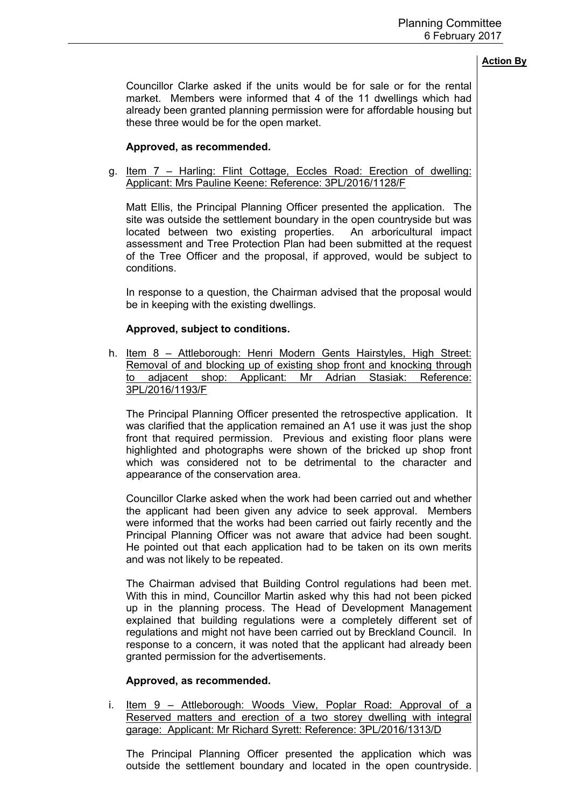Councillor Clarke asked if the units would be for sale or for the rental market. Members were informed that 4 of the 11 dwellings which had already been granted planning permission were for affordable housing but these three would be for the open market.

# **Approved, as recommended.**

g. Item 7 – Harling: Flint Cottage, Eccles Road: Erection of dwelling: Applicant: Mrs Pauline Keene: Reference: 3PL/2016/1128/F

Matt Ellis, the Principal Planning Officer presented the application. The site was outside the settlement boundary in the open countryside but was located between two existing properties. An arboricultural impact assessment and Tree Protection Plan had been submitted at the request of the Tree Officer and the proposal, if approved, would be subject to conditions.

In response to a question, the Chairman advised that the proposal would be in keeping with the existing dwellings.

## **Approved, subject to conditions.**

h. Item 8 – Attleborough: Henri Modern Gents Hairstyles, High Street: Removal of and blocking up of existing shop front and knocking through to adjacent shop: Applicant: Mr Adrian Stasiak: Reference: 3PL/2016/1193/F

The Principal Planning Officer presented the retrospective application. It was clarified that the application remained an A1 use it was just the shop front that required permission. Previous and existing floor plans were highlighted and photographs were shown of the bricked up shop front which was considered not to be detrimental to the character and appearance of the conservation area.

Councillor Clarke asked when the work had been carried out and whether the applicant had been given any advice to seek approval. Members were informed that the works had been carried out fairly recently and the Principal Planning Officer was not aware that advice had been sought. He pointed out that each application had to be taken on its own merits and was not likely to be repeated.

The Chairman advised that Building Control regulations had been met. With this in mind, Councillor Martin asked why this had not been picked up in the planning process. The Head of Development Management explained that building regulations were a completely different set of regulations and might not have been carried out by Breckland Council. In response to a concern, it was noted that the applicant had already been granted permission for the advertisements.

#### **Approved, as recommended.**

i. Item 9 – Attleborough: Woods View, Poplar Road: Approval of a Reserved matters and erection of a two storey dwelling with integral garage: Applicant: Mr Richard Syrett: Reference: 3PL/2016/1313/D

The Principal Planning Officer presented the application which was outside the settlement boundary and located in the open countryside.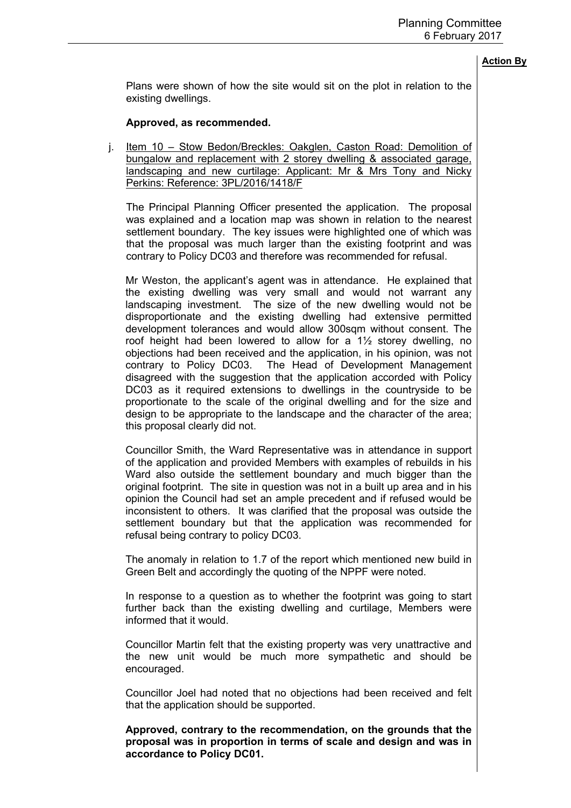Plans were shown of how the site would sit on the plot in relation to the existing dwellings.

#### **Approved, as recommended.**

j. Item 10 – Stow Bedon/Breckles: Oakglen, Caston Road: Demolition of bungalow and replacement with 2 storey dwelling & associated garage, landscaping and new curtilage: Applicant: Mr & Mrs Tony and Nicky Perkins: Reference: 3PL/2016/1418/F

The Principal Planning Officer presented the application. The proposal was explained and a location map was shown in relation to the nearest settlement boundary. The key issues were highlighted one of which was that the proposal was much larger than the existing footprint and was contrary to Policy DC03 and therefore was recommended for refusal.

Mr Weston, the applicant's agent was in attendance. He explained that the existing dwelling was very small and would not warrant any landscaping investment. The size of the new dwelling would not be disproportionate and the existing dwelling had extensive permitted development tolerances and would allow 300sqm without consent. The roof height had been lowered to allow for a 1½ storey dwelling, no objections had been received and the application, in his opinion, was not contrary to Policy DC03. The Head of Development Management disagreed with the suggestion that the application accorded with Policy DC03 as it required extensions to dwellings in the countryside to be proportionate to the scale of the original dwelling and for the size and design to be appropriate to the landscape and the character of the area; this proposal clearly did not.

Councillor Smith, the Ward Representative was in attendance in support of the application and provided Members with examples of rebuilds in his Ward also outside the settlement boundary and much bigger than the original footprint. The site in question was not in a built up area and in his opinion the Council had set an ample precedent and if refused would be inconsistent to others. It was clarified that the proposal was outside the settlement boundary but that the application was recommended for refusal being contrary to policy DC03.

The anomaly in relation to 1.7 of the report which mentioned new build in Green Belt and accordingly the quoting of the NPPF were noted.

In response to a question as to whether the footprint was going to start further back than the existing dwelling and curtilage, Members were informed that it would.

Councillor Martin felt that the existing property was very unattractive and the new unit would be much more sympathetic and should be encouraged.

Councillor Joel had noted that no objections had been received and felt that the application should be supported.

**Approved, contrary to the recommendation, on the grounds that the proposal was in proportion in terms of scale and design and was in accordance to Policy DC01.**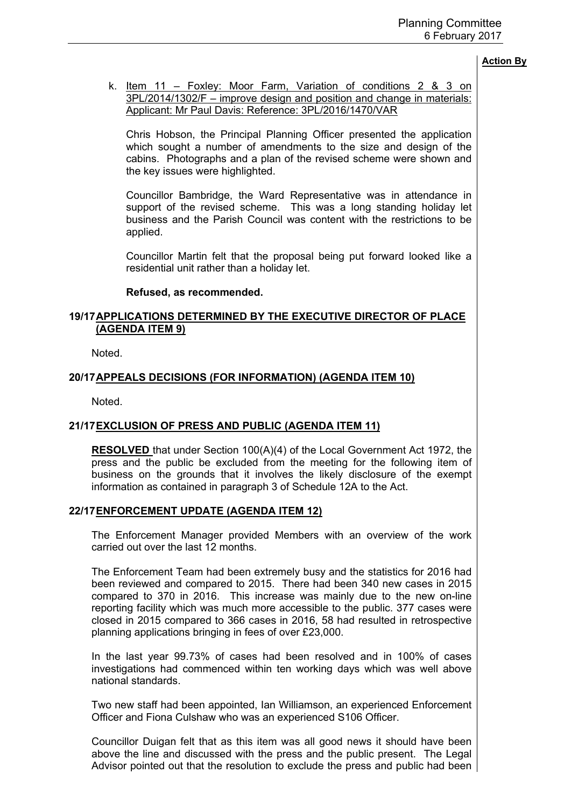k. Item 11 – Foxley: Moor Farm, Variation of conditions 2 & 3 on 3PL/2014/1302/F – improve design and position and change in materials: Applicant: Mr Paul Davis: Reference: 3PL/2016/1470/VAR

Chris Hobson, the Principal Planning Officer presented the application which sought a number of amendments to the size and design of the cabins. Photographs and a plan of the revised scheme were shown and the key issues were highlighted.

Councillor Bambridge, the Ward Representative was in attendance in support of the revised scheme. This was a long standing holiday let business and the Parish Council was content with the restrictions to be applied.

Councillor Martin felt that the proposal being put forward looked like a residential unit rather than a holiday let.

#### **Refused, as recommended.**

# **19/17APPLICATIONS DETERMINED BY THE EXECUTIVE DIRECTOR OF PLACE (AGENDA ITEM 9)**

Noted.

## **20/17APPEALS DECISIONS (FOR INFORMATION) (AGENDA ITEM 10)**

Noted.

# **21/17EXCLUSION OF PRESS AND PUBLIC (AGENDA ITEM 11)**

**RESOLVED** that under Section 100(A)(4) of the Local Government Act 1972, the press and the public be excluded from the meeting for the following item of business on the grounds that it involves the likely disclosure of the exempt information as contained in paragraph 3 of Schedule 12A to the Act.

# **22/17ENFORCEMENT UPDATE (AGENDA ITEM 12)**

The Enforcement Manager provided Members with an overview of the work carried out over the last 12 months.

The Enforcement Team had been extremely busy and the statistics for 2016 had been reviewed and compared to 2015. There had been 340 new cases in 2015 compared to 370 in 2016. This increase was mainly due to the new on-line reporting facility which was much more accessible to the public. 377 cases were closed in 2015 compared to 366 cases in 2016, 58 had resulted in retrospective planning applications bringing in fees of over £23,000.

In the last year 99.73% of cases had been resolved and in 100% of cases investigations had commenced within ten working days which was well above national standards.

Two new staff had been appointed, Ian Williamson, an experienced Enforcement Officer and Fiona Culshaw who was an experienced S106 Officer.

Councillor Duigan felt that as this item was all good news it should have been above the line and discussed with the press and the public present. The Legal Advisor pointed out that the resolution to exclude the press and public had been